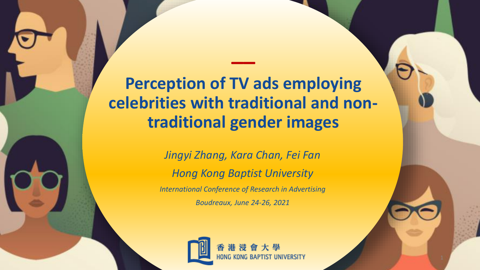**Perception of TV ads employing celebrities with traditional and nontraditional gender images**

**\_\_**

*Jingyi Zhang, Kara Chan, Fei Fan Hong Kong Baptist University International Conference of Research in Advertising Boudreaux, June 24-26, 2021*

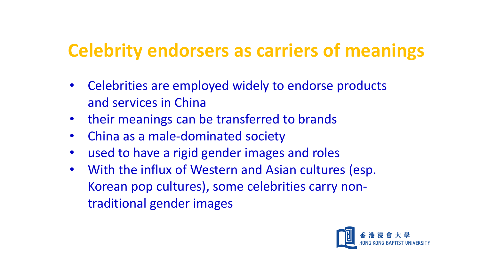## **Celebrity endorsers as carriers of meanings**

- Celebrities are employed widely to endorse products and services in China
- their meanings can be transferred to brands
- China as a male-dominated society
- used to have a rigid gender images and roles
- With the influx of Western and Asian cultures (esp. Korean pop cultures), some celebrities carry nontraditional gender images

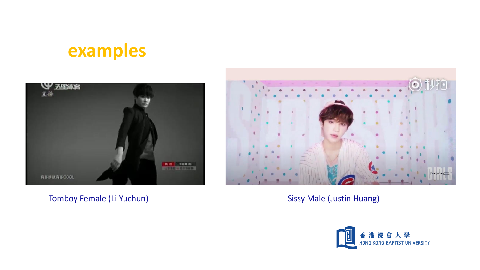# **examples**



Tomboy Female (Li Yuchun) Sissy Male (Justin Huang)



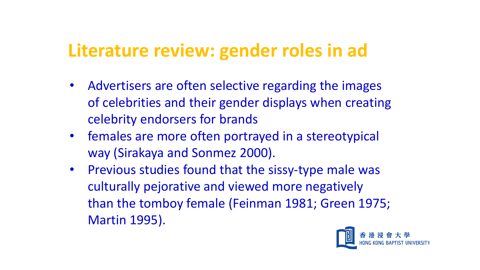### **Literature review: gender roles in ad**

- Advertisers are often selective regarding the images of celebrities and their gender displays when creating celebrity endorsers for brands
- females are more often portrayed in a stereotypical way (Sirakaya and Sonmez 2000).
- Previous studies found that the sissy-type male was culturally pejorative and viewed more negatively than the tomboy female (Feinman 1981; Green 1975; Martin 1995).

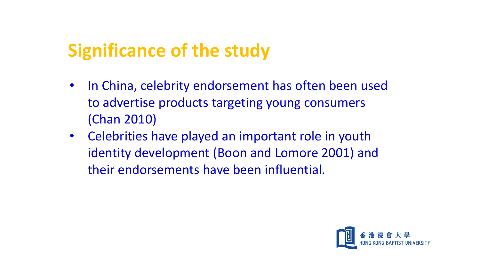## **Significance of the study**

- In China, celebrity endorsement has often been used to advertise products targeting young consumers (Chan 2010)
- Celebrities have played an important role in youth identity development (Boon and Lomore 2001) and their endorsements have been influential.

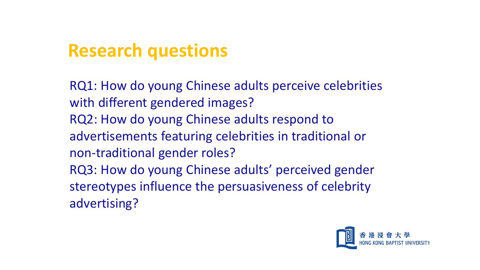### **Research questions**

RQ1: How do young Chinese adults perceive celebrities with different gendered images? RQ2: How do young Chinese adults respond to advertisements featuring celebrities in traditional or non-traditional gender roles? RQ3: How do young Chinese adults' perceived gender stereotypes influence the persuasiveness of celebrity advertising?

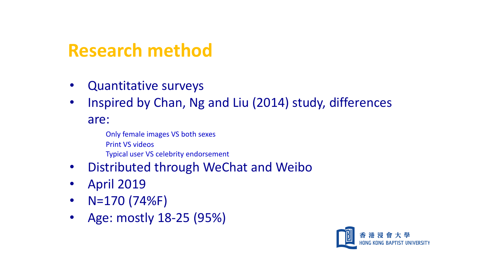### **Research method**

- Quantitative surveys
- Inspired by Chan, Ng and Liu (2014) study, differences

are:

Only female images VS both sexes Print VS videos Typical user VS celebrity endorsement

- Distributed through WeChat and Weibo
- April 2019
- N=170 (74%F)
- Age: mostly 18-25 (95%)

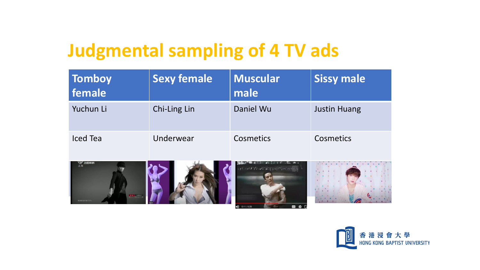## **Judgmental sampling of 4 TV ads**

| Tomboy<br>female | <b>Sexy female</b> | <b>Muscular</b><br>male | <b>Sissy male</b>   |
|------------------|--------------------|-------------------------|---------------------|
| Yuchun Li        | Chi-Ling Lin       | Daniel Wu               | <b>Justin Huang</b> |
| Iced Tea         | Underwear          | Cosmetics               | Cosmetics           |







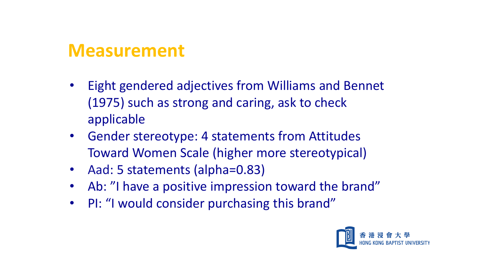### **Measurement**

- Eight gendered adjectives from Williams and Bennet (1975) such as strong and caring, ask to check applicable
- Gender stereotype: 4 statements from Attitudes Toward Women Scale (higher more stereotypical)
- Aad: 5 statements (alpha=0.83)
- Ab: "I have a positive impression toward the brand"
- PI: "I would consider purchasing this brand"

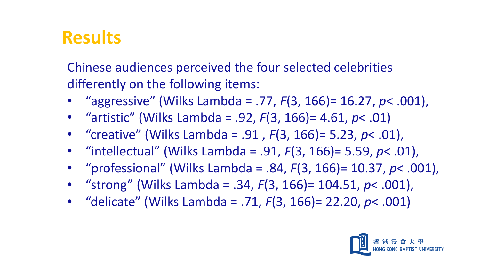## **Results**

Chinese audiences perceived the four selected celebrities differently on the following items:

- "aggressive" (Wilks Lambda = .77, *F*(3, 166)= 16.27, *p*< .001),
- "artistic" (Wilks Lambda = .92, *F*(3, 166)= 4.61, *p*< .01)
- "creative" (Wilks Lambda = .91 , *F*(3, 166)= 5.23, *p*< .01),
- "intellectual" (Wilks Lambda = .91, *F*(3, 166)= 5.59, *p*< .01),
- "professional" (Wilks Lambda = .84, *F*(3, 166)= 10.37, *p*< .001),
- "strong" (Wilks Lambda = .34, *F*(3, 166)= 104.51, *p*< .001),
- "delicate" (Wilks Lambda = .71, *F*(3, 166)= 22.20, *p*< .001)

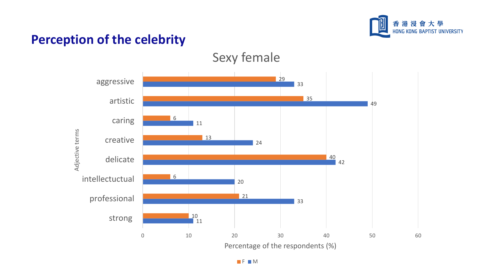



Sexy female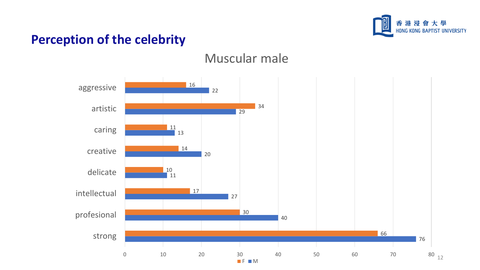

#### Muscular male

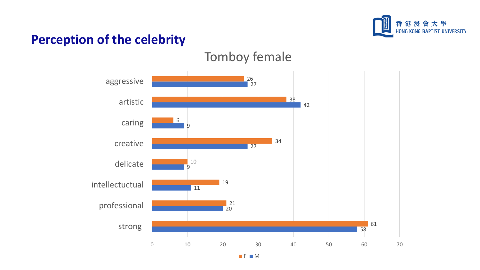

#### Tomboy female

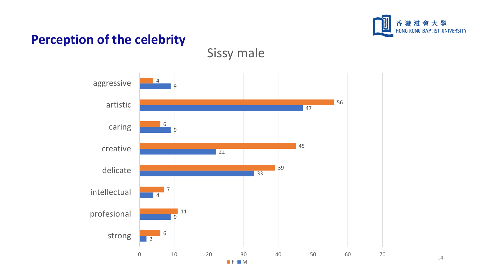

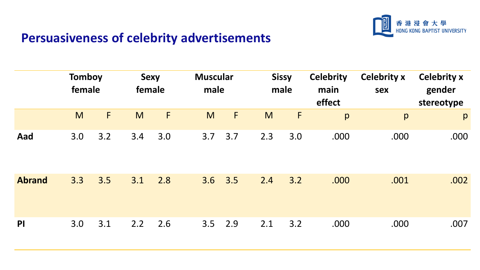

### **Persuasiveness of celebrity advertisements**

|               | <b>Tomboy</b><br>female |     |     | <b>Sexy</b><br>female | <b>Muscular</b><br>male |             |     | <b>Sissy</b><br>male | <b>Celebrity</b><br>main<br>effect | <b>Celebrity x</b><br>sex | <b>Celebrity x</b><br>gender<br>stereotype |
|---------------|-------------------------|-----|-----|-----------------------|-------------------------|-------------|-----|----------------------|------------------------------------|---------------------------|--------------------------------------------|
|               | M                       | F   | M   | F                     | M                       | $\mathsf F$ | M   | F                    | p                                  | p                         | p                                          |
| Aad           | 3.0                     | 3.2 | 3.4 | 3.0                   | 3.7                     | 3.7         | 2.3 | 3.0                  | .000                               | .000                      | .000                                       |
| <b>Abrand</b> | 3.3                     | 3.5 | 3.1 | 2.8                   | 3.6                     | 3.5         | 2.4 | 3.2                  | .000                               | .001                      | .002                                       |
| PI            | 3.0                     | 3.1 | 2.2 | 2.6                   | 3.5                     | 2.9         | 2.1 | 3.2                  | .000                               | .000                      | .007                                       |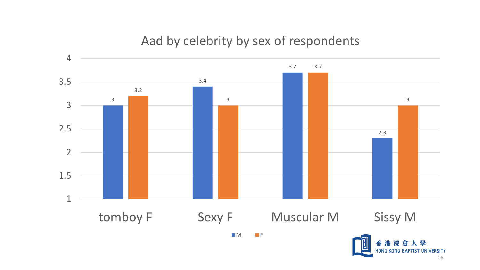#### Aad by celebrity by sex of respondents



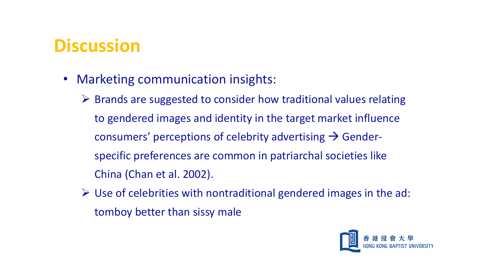## **Discussion**

- Marketing communication insights:
	- $\triangleright$  Brands are suggested to consider how traditional values relating to gendered images and identity in the target market influence consumers' perceptions of celebrity advertising  $\rightarrow$  Genderspecific preferences are common in patriarchal societies like China (Chan et al. 2002).
	- $\triangleright$  Use of celebrities with nontraditional gendered images in the ad: tomboy better than sissy male

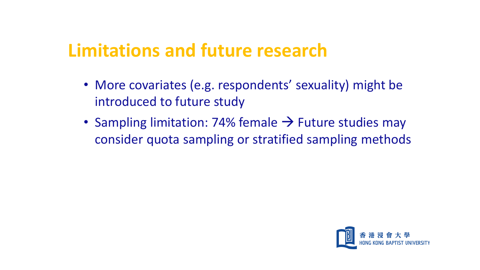### **Limitations and future research**

- More covariates (e.g. respondents' sexuality) might be introduced to future study
- Sampling limitation: 74% female  $\rightarrow$  Future studies may consider quota sampling or stratified sampling methods